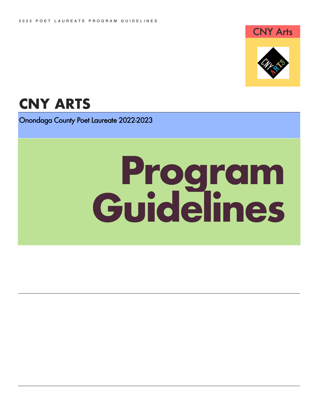

# **CNY ARTS**

Onondaga County Poet Laureate 2022-2023

# **Program Guidelines**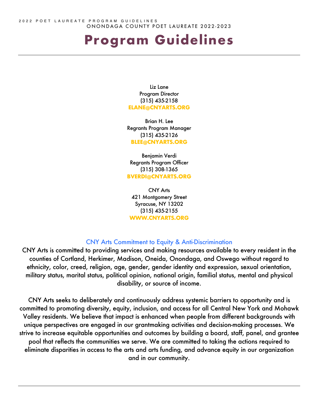2022 POET LAUREATE PROGRAM GUIDELINES ONONDAGA COUNTY POET LAUREATE 2022-2023

# **Program Guidelines**

Liz Lane Program Director (315) 435-2158 **ELANE@CNYARTS.ORG**

Brian H. Lee Regrants Program Manager (315) 435-2126 **BLEE@CNYARTS.ORG**

Benjamin Verdi Regrants Program Officer (315) 308-1365 **BVERDI@CNYARTS.ORG**

CNY Arts 421 Montgomery Street Syracuse, NY 13202 (315) 435-2155 **WWW.CNYARTS.ORG**

#### CNY Arts Commitment to Equity & Anti-Discrimination

CNY Arts is committed to providing services and making resources available to every resident in the counties of Cortland, Herkimer, Madison, Oneida, Onondaga, and Oswego without regard to ethnicity, color, creed, religion, age, gender, gender identity and expression, sexual orientation, military status, marital status, political opinion, national origin, familial status, mental and physical disability, or source of income.

CNY Arts seeks to deliberately and continuously address systemic barriers to opportunity and is committed to promoting diversity, equity, inclusion, and access for all Central New York and Mohawk Valley residents. We believe that impact is enhanced when people from different backgrounds with unique perspectives are engaged in our grantmaking activities and decision-making processes. We strive to increase equitable opportunities and outcomes by building a board, staff, panel, and grantee pool that reflects the communities we serve. We are committed to taking the actions required to eliminate disparities in access to the arts and arts funding, and advance equity in our organization and in our community.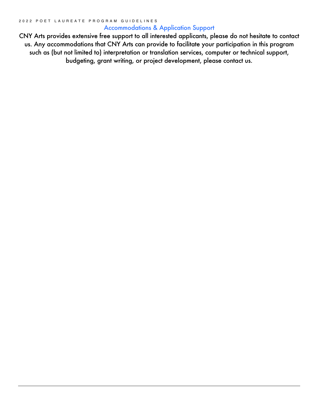#### Accommodations & Application Support

CNY Arts provides extensive free support to all interested applicants, please do not hesitate to contact us. Any accommodations that CNY Arts can provide to facilitate your participation in this program such as (but not limited to) interpretation or translation services, computer or technical support, budgeting, grant writing, or project development, please contact us.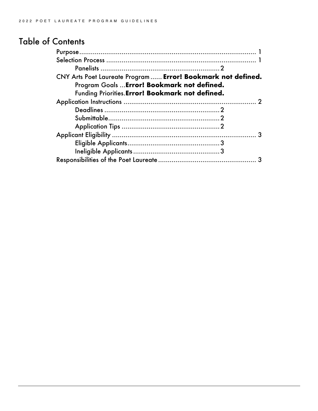## Table of Contents

| CNY Arts Poet Laureate Program  Error! Bookmark not defined. |  |
|--------------------------------------------------------------|--|
| Program Goals  Error! Bookmark not defined.                  |  |
| Funding Priorities. Error! Bookmark not defined.             |  |
|                                                              |  |
|                                                              |  |
|                                                              |  |
|                                                              |  |
|                                                              |  |
|                                                              |  |
|                                                              |  |
|                                                              |  |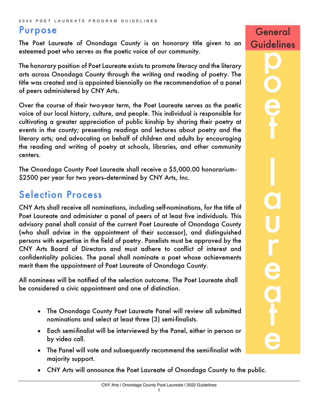### Purpose

The Poet Laureate of Onondaga County is an honorary title given to an esteemed poet who serves as the poetic voice of our community.

The honorary position of Poet Laureate exists to promote literacy and the literary arts across Onondaga County through the writing and reading of poetry. The title was created and is appointed biennially on the recommendation of a panel of peers administered by CNY Arts.

Over the course of their two-year term, the Poet Laureate serves as the poetic voice of our local history, culture, and people. This individual is responsible for cultivating a greater appreciation of public kinship by sharing their poetry at events in the county; presenting readings and lectures about poetry and the literary arts; and advocating on behalf of children and adults by encouraging the reading and writing of poetry at schools, libraries, and other community centers.

The Onondaga County Poet Laureate shall receive a \$5,000.00 honorarium-- \$2500 per year for two years-determined by CNY Arts, Inc.

# Selection Process

CNY Arts shall receive all nominations, including self-nominations, for the title of Poet Laureate and administer a panel of peers of at least five individuals. This advisory panel shall consist of the current Poet Laureate of Onondaga County (who shall advise in the appointment of their successor), and distinguished persons with expertise in the field of poetry. Panelists must be approved by the CNY Arts Board of Directors and must adhere to conflict of interest and confidentiality policies. The panel shall nominate a poet whose achievements merit them the appointment of Poet Laureate of Onondaga County.

All nominees will be notified of the selection outcome. The Poet Laureate shall be considered a civic appointment and one of distinction.

- The Onondaga County Poet Laureate Panel will review all submitted nominations and select at least three (3) semi-finalists.
- Each semi-finalist will be interviewed by the Panel, either in person or by video call.
- The Panel will vote and subsequently recommend the semi-finalist with majority support.
- CNY Arts will announce the Poet Laureate of Onondaga County to the public.

o

e

t

l

a

u

r

e

a

t

e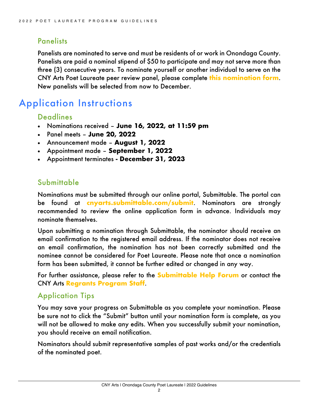#### **Panelists**

Panelists are nominated to serve and must be residents of or work in Onondaga County. Panelists are paid a nominal stipend of \$50 to participate and may not serve more than three (3) consecutive years. To nominate yourself or another individual to serve on the CNY Arts Poet Laureate peer review panel, please complete **this nomination form**. New panelists will be selected from now to December.

# Application Instructions

#### **Deadlines**

- Nominations received **June 16, 2022, at 11:59 pm**
- Panel meets **June 20, 2022**
- Announcement made **August 1, 2022**
- Appointment made **September 1, 2022**
- Appointment terminates **- December 31, 2023**

#### Submittable

Nominations must be submitted through our online portal, Submittable. The portal can be found at **cnyarts.submittable.com/submit**. Nominators are strongly recommended to review the online application form in advance. Individuals may nominate themselves.

Upon submitting a nomination through Submittable, the nominator should receive an email confirmation to the registered email address. If the nominator does not receive an email confirmation, the nomination has not been correctly submitted and the nominee cannot be considered for Poet Laureate. Please note that once a nomination form has been submitted, it cannot be further edited or changed in any way.

For further assistance, please refer to the **Submittable Help Forum** or contact the CNY Arts **Regrants Program Staff**.

#### Application Tips

You may save your progress on Submittable as you complete your nomination. Please be sure not to click the "Submit" button until your nomination form is complete, as you will not be allowed to make any edits. When you successfully submit your nomination, you should receive an email notification.

Nominators should submit representative samples of past works and/or the credentials of the nominated poet.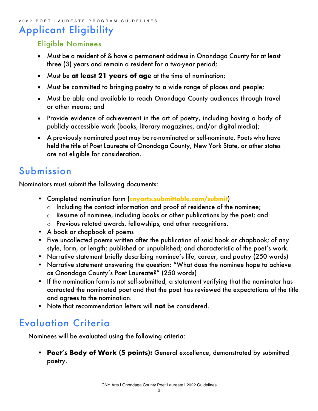#### 2022 POET LAUREATE PROGRAM GUIDELINES

# Applicant Eligibility

#### Eligible Nominees

- Must be a resident of & have a permanent address in Onondaga County for at least three (3) years and remain a resident for a two-year period;
- Must be **at least 21 years of age** at the time of nomination;
- Must be committed to bringing poetry to a wide range of places and people;
- Must be able and available to reach Onondaga County audiences through travel or other means; and
- Provide evidence of achievement in the art of poetry, including having a body of publicly accessible work (books, literary magazines, and/or digital media);
- A previously nominated poet may be re-nominated or self-nominate. Poets who have held the title of Poet Laureate of Onondaga County, New York State, or other states are not eligible for consideration.

# Submission

Nominators must submit the following documents:

- Completed nomination form (**cnyarts.submittable.com/submit**)
	- o Including the contact information and proof of residence of the nominee;
	- o Resume of nominee, including books or other publications by the poet; and
	- o Previous related awards, fellowships, and other recognitions.
- A book or chapbook of poems
- Five uncollected poems written after the publication of said book or chapbook; of any style, form, or length; published or unpublished; and characteristic of the poet's work.
- Narrative statement briefly describing nominee's life, career, and poetry (250 words)
- Narrative statement answering the question: "What does the nominee hope to achieve as Onondaga County's Poet Laureate?" (250 words)
- If the nomination form is not self-submitted, a statement verifying that the nominator has contacted the nominated poet and that the poet has reviewed the expectations of the title and agrees to the nomination.
- Note that recommendation letters will **not** be considered.

# Evaluation Criteria

Nominees will be evaluated using the following criteria:

• **Poet's Body of Work (5 points):** General excellence, demonstrated by submitted poetry.